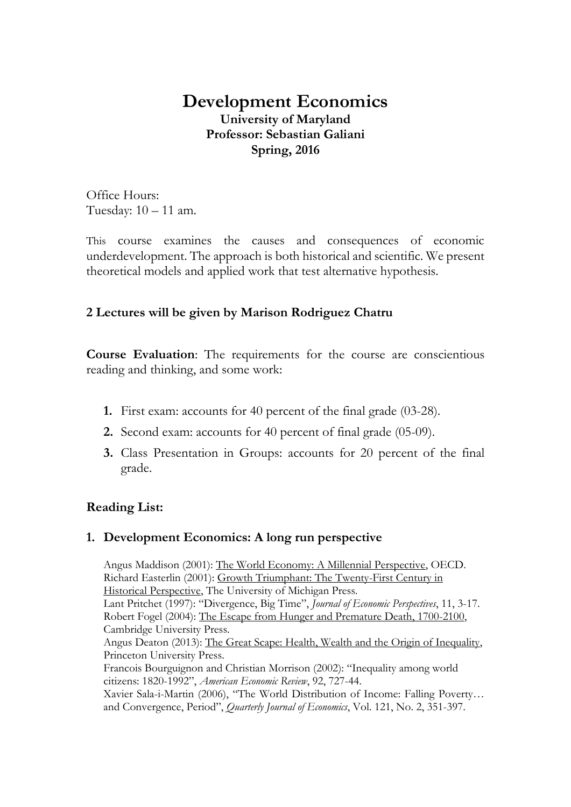# **Development Economics University of Maryland Professor: Sebastian Galiani Spring, 2016**

Office Hours: Tuesday: 10 – 11 am.

This course examines the causes and consequences of economic underdevelopment. The approach is both historical and scientific. We present theoretical models and applied work that test alternative hypothesis.

## **2 Lectures will be given by Marison Rodriguez Chatru**

**Course Evaluation**: The requirements for the course are conscientious reading and thinking, and some work:

- **1.** First exam: accounts for 40 percent of the final grade (03-28).
- **2.** Second exam: accounts for 40 percent of final grade (05-09).
- **3.** Class Presentation in Groups: accounts for 20 percent of the final grade.

## **Reading List:**

## **1. Development Economics: A long run perspective**

Angus Maddison (2001): The World Economy: A Millennial Perspective, OECD. Richard Easterlin (2001): Growth Triumphant: The Twenty-First Century in Historical Perspective, The University of Michigan Press. Lant Pritchet (1997): "Divergence, Big Time", *Journal of Economic Perspectives*, 11, 3-17. Robert Fogel (2004): The Escape from Hunger and Premature Death, 1700-2100, Cambridge University Press. Angus Deaton (2013): The Great Scape: Health, Wealth and the Origin of Inequality, Princeton University Press. Francois Bourguignon and Christian Morrison (2002): "Inequality among world citizens: 1820-1992", *American Economic Review*, 92, 727-44. Xavier Sala-i-Martin (2006), "The World Distribution of Income: Falling Poverty… and Convergence, Period", *Quarterly Journal of Economics*, Vol. 121, No. 2, 351-397.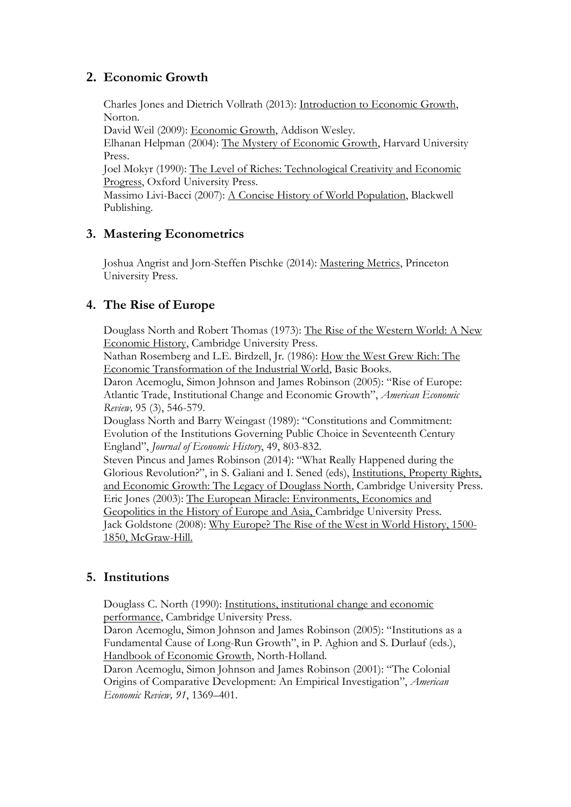## **2. Economic Growth**

Charles Jones and Dietrich Vollrath (2013): Introduction to Economic Growth, Norton.

David Weil (2009): Economic Growth, Addison Wesley.

Elhanan Helpman (2004): The Mystery of Economic Growth, Harvard University Press.

Joel Mokyr (1990): The Level of Riches: Technological Creativity and Economic Progress, Oxford University Press.

Massimo Livi-Bacci (2007): A Concise History of World Population, Blackwell Publishing.

## **3. Mastering Econometrics**

Joshua Angrist and Jorn-Steffen Pischke (2014): Mastering Metrics, Princeton University Press.

### **4. The Rise of Europe**

Douglass North and Robert Thomas (1973): The Rise of the Western World: A New Economic History, Cambridge University Press.

Nathan Rosemberg and L.E. Birdzell, Jr. (1986): How the West Grew Rich: The Economic Transformation of the Industrial World, Basic Books.

Daron Acemoglu, Simon Johnson and James Robinson (2005): "Rise of Europe: Atlantic Trade, Institutional Change and Economic Growth", *American Economic Review,* 95 (3), 546-579.

Douglass North and Barry Weingast (1989): "Constitutions and Commitment: Evolution of the Institutions Governing Public Choice in Seventeenth Century England", *Journal of Economic History*, 49, 803-832.

Steven Pincus and James Robinson (2014): "What Really Happened during the Glorious Revolution?", in S. Galiani and I. Sened (eds), Institutions, Property Rights, and Economic Growth: The Legacy of Douglass North, Cambridge University Press. Eric Jones (2003): The European Miracle: Environments, Economics and Geopolitics in the History of Europe and Asia, Cambridge University Press. Jack Goldstone (2008): Why Europe? The Rise of the West in World History, 1500- 1850, McGraw-Hill.

### **5. Institutions**

Douglass C. North (1990): Institutions, institutional change and economic performance, Cambridge University Press.

Daron Acemoglu, Simon Johnson and James Robinson (2005): "Institutions as a Fundamental Cause of Long-Run Growth", in P. Aghion and S. Durlauf (eds.), Handbook of Economic Growth, North-Holland.

Daron Acemoglu, Simon Johnson and James Robinson (2001): "The Colonial Origins of Comparative Development: An Empirical Investigation", *American Economic Review, 91*, 1369–401.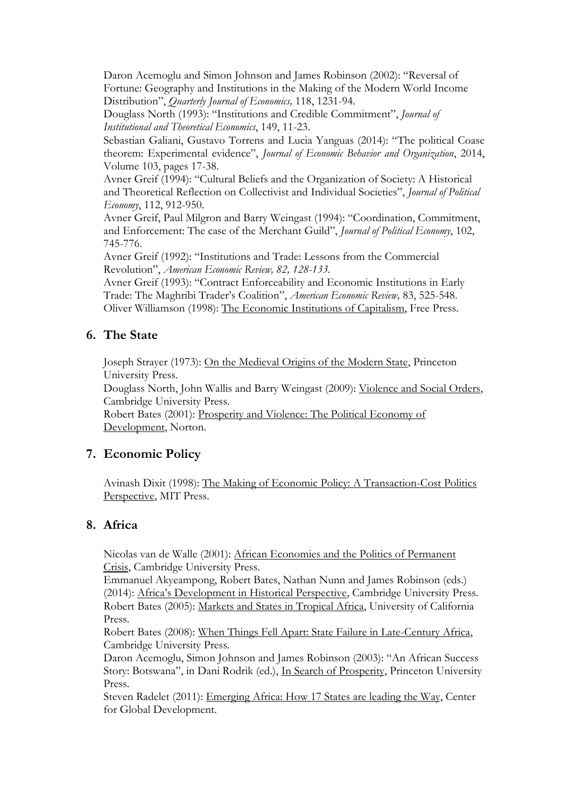Daron Acemoglu and Simon Johnson and James Robinson (2002): "Reversal of Fortune: Geography and Institutions in the Making of the Modern World Income Distribution", *Quarterly Journal of Economics,* 118, 1231-94.

Douglass North (1993): "Institutions and Credible Commitment", *Journal of Institutional and Theoretical Economics*, 149, 11-23.

Sebastian Galiani, Gustavo Torrens and Lucia Yanguas (2014): "The political Coase theorem: Experimental evidence", *Journal of Economic Behavior and Organization*, 2014, Volume 103, pages 17-38.

Avner Greif (1994): "Cultural Beliefs and the Organization of Society: A Historical and Theoretical Reflection on Collectivist and Individual Societies", *Journal of Political Economy*, 112, 912-950.

Avner Greif, Paul Milgron and Barry Weingast (1994): "Coordination, Commitment, and Enforcement: The case of the Merchant Guild", *Journal of Political Economy*, 102, 745-776.

Avner Greif (1992): "Institutions and Trade: Lessons from the Commercial Revolution", *American Economic Review, 82, 128-133.* 

Avner Greif (1993): "Contract Enforceability and Economic Institutions in Early Trade: The Maghribi Trader's Coalition", *American Economic Review,* 83, 525-548. Oliver Williamson (1998): The Economic Institutions of Capitalism, Free Press.

## **6. The State**

Joseph Strayer (1973): On the Medieval Origins of the Modern State, Princeton University Press.

Douglass North, John Wallis and Barry Weingast (2009): Violence and Social Orders, Cambridge University Press.

Robert Bates (2001): Prosperity and Violence: The Political Economy of Development, Norton.

### **7. Economic Policy**

Avinash Dixit (1998): The Making of Economic Policy: A Transaction-Cost Politics Perspective, MIT Press.

### **8. Africa**

Nicolas van de Walle (2001): African Economies and the Politics of Permanent Crisis, Cambridge University Press.

Emmanuel Akyeampong, Robert Bates, Nathan Nunn and James Robinson (eds.) (2014): Africa's Development in Historical Perspective, Cambridge University Press. Robert Bates (2005): Markets and States in Tropical Africa, University of California Press.

Robert Bates (2008): When Things Fell Apart: State Failure in Late-Century Africa, Cambridge University Press.

Daron Acemoglu, Simon Johnson and James Robinson (2003): "An African Success Story: Botswana", in Dani Rodrik (ed.), In Search of Prosperity, Princeton University Press.

Steven Radelet (2011): Emerging Africa: How 17 States are leading the Way, Center for Global Development.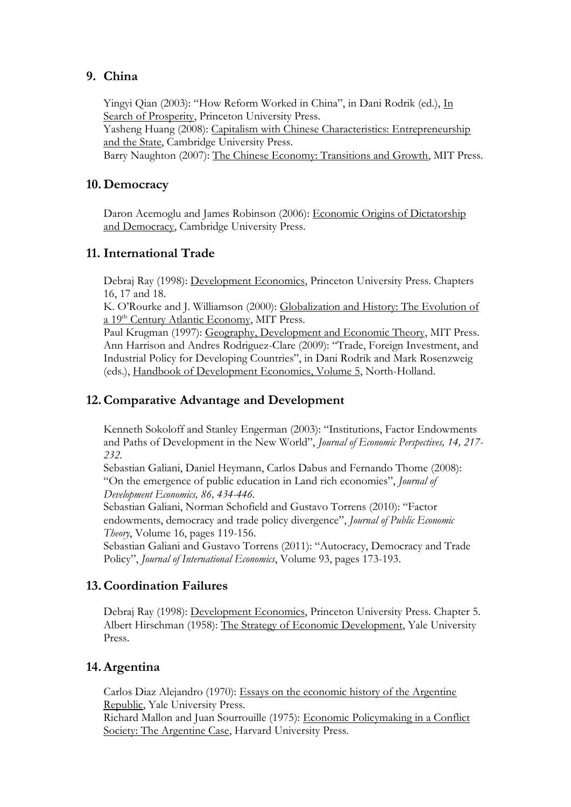### **9. China**

Yingyi Qian (2003): "How Reform Worked in China", in Dani Rodrik (ed.), In Search of Prosperity, Princeton University Press. Yasheng Huang (2008): Capitalism with Chinese Characteristics: Entrepreneurship and the State, Cambridge University Press. Barry Naughton (2007): The Chinese Economy: Transitions and Growth, MIT Press.

### **10. Democracy**

Daron Acemoglu and James Robinson (2006): Economic Origins of Dictatorship and Democracy, Cambridge University Press.

#### **11. International Trade**

Debraj Ray (1998): Development Economics, Princeton University Press. Chapters 16, 17 and 18.

K. O'Rourke and J. Williamson (2000): Globalization and History: The Evolution of a 19<sup>th</sup> Century Atlantic Economy, MIT Press.

Paul Krugman (1997): Geography, Development and Economic Theory, MIT Press. Ann Harrison and Andres Rodriguez-Clare (2009): "Trade, Foreign Investment, and Industrial Policy for Developing Countries", in Dani Rodrik and Mark Rosenzweig (eds.), Handbook of Development Economics, Volume 5, North-Holland.

### **12.Comparative Advantage and Development**

Kenneth Sokoloff and Stanley Engerman (2003): "Institutions, Factor Endowments and Paths of Development in the New World", *Journal of Economic Perspectives, 14, 217- 232.* 

Sebastian Galiani, Daniel Heymann, Carlos Dabus and Fernando Thome (2008): "On the emergence of public education in Land rich economies", *Journal of Development Economics, 86, 434-446.* 

Sebastian Galiani, Norman Schofield and Gustavo Torrens (2010): "Factor endowments, democracy and trade policy divergence", *Journal of Public Economic Theory*, Volume 16, pages 119-156.

Sebastian Galiani and Gustavo Torrens (2011): "Autocracy, Democracy and Trade Policy", *Journal of International Economics*, Volume 93, pages 173-193.

### **13.Coordination Failures**

Debraj Ray (1998): Development Economics, Princeton University Press. Chapter 5. Albert Hirschman (1958): The Strategy of Economic Development, Yale University Press.

### **14.Argentina**

Carlos Diaz Alejandro (1970): Essays on the economic history of the Argentine Republic, Yale University Press.

Richard Mallon and Juan Sourrouille (1975): Economic Policymaking in a Conflict Society: The Argentine Case, Harvard University Press.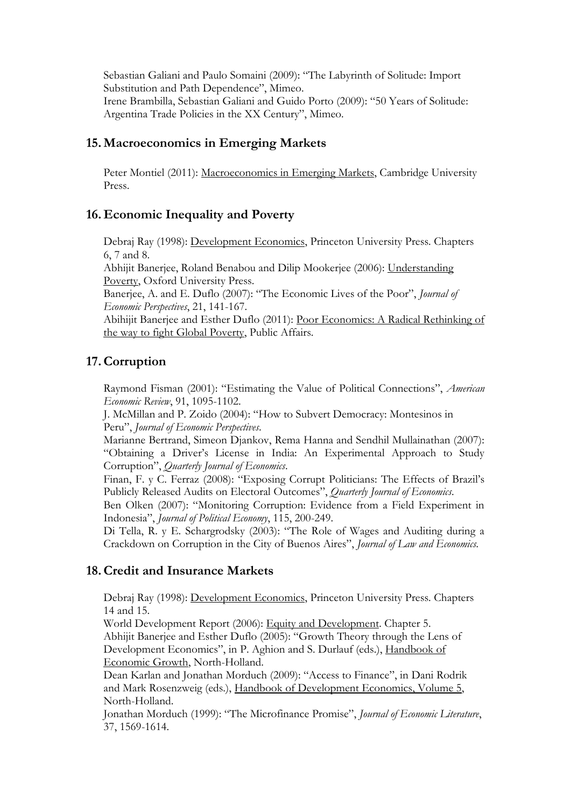Sebastian Galiani and Paulo Somaini (2009): "The Labyrinth of Solitude: Import Substitution and Path Dependence", Mimeo. Irene Brambilla, Sebastian Galiani and Guido Porto (2009): "50 Years of Solitude: Argentina Trade Policies in the XX Century", Mimeo.

#### **15. Macroeconomics in Emerging Markets**

Peter Montiel (2011): Macroeconomics in Emerging Markets, Cambridge University Press.

#### **16. Economic Inequality and Poverty**

Debraj Ray (1998): Development Economics, Princeton University Press. Chapters 6, 7 and 8.

Abhijit Banerjee, Roland Benabou and Dilip Mookerjee (2006): Understanding Poverty, Oxford University Press.

Banerjee, A. and E. Duflo (2007): "The Economic Lives of the Poor", *Journal of Economic Perspectives*, 21, 141-167.

Abihijit Banerjee and Esther Duflo (2011): Poor Economics: A Radical Rethinking of the way to fight Global Poverty, Public Affairs.

#### **17.Corruption**

Raymond Fisman (2001): "Estimating the Value of Political Connections", *American Economic Review*, 91, 1095-1102.

J. McMillan and P. Zoido (2004): "How to Subvert Democracy: Montesinos in Peru", *Journal of Economic Perspectives*.

Marianne Bertrand, Simeon Djankov, Rema Hanna and Sendhil Mullainathan (2007): "Obtaining a Driver's License in India: An Experimental Approach to Study Corruption", *Quarterly Journal of Economics*.

Finan, F. y C. Ferraz (2008): "Exposing Corrupt Politicians: The Effects of Brazil's Publicly Released Audits on Electoral Outcomes", *Quarterly Journal of Economics*.

Ben Olken (2007): "Monitoring Corruption: Evidence from a Field Experiment in Indonesia", *Journal of Political Economy*, 115, 200-249.

Di Tella, R. y E. Schargrodsky (2003): "The Role of Wages and Auditing during a Crackdown on Corruption in the City of Buenos Aires", *Journal of Law and Economics.*

#### **18.Credit and Insurance Markets**

Debraj Ray (1998): Development Economics, Princeton University Press. Chapters 14 and 15.

World Development Report (2006): Equity and Development. Chapter 5. Abhijit Banerjee and Esther Duflo (2005): "Growth Theory through the Lens of Development Economics", in P. Aghion and S. Durlauf (eds.), Handbook of Economic Growth, North-Holland.

Dean Karlan and Jonathan Morduch (2009): "Access to Finance", in Dani Rodrik and Mark Rosenzweig (eds.), Handbook of Development Economics, Volume 5, North-Holland.

Jonathan Morduch (1999): "The Microfinance Promise", *[Journal of Economic Literature](http://links.jstor.org/sici?sici=0022-0515%28199912%2937%3A4%3C1569%3ATMP%3E2.0.CO%3B2-F)*, 37, 1569-1614.